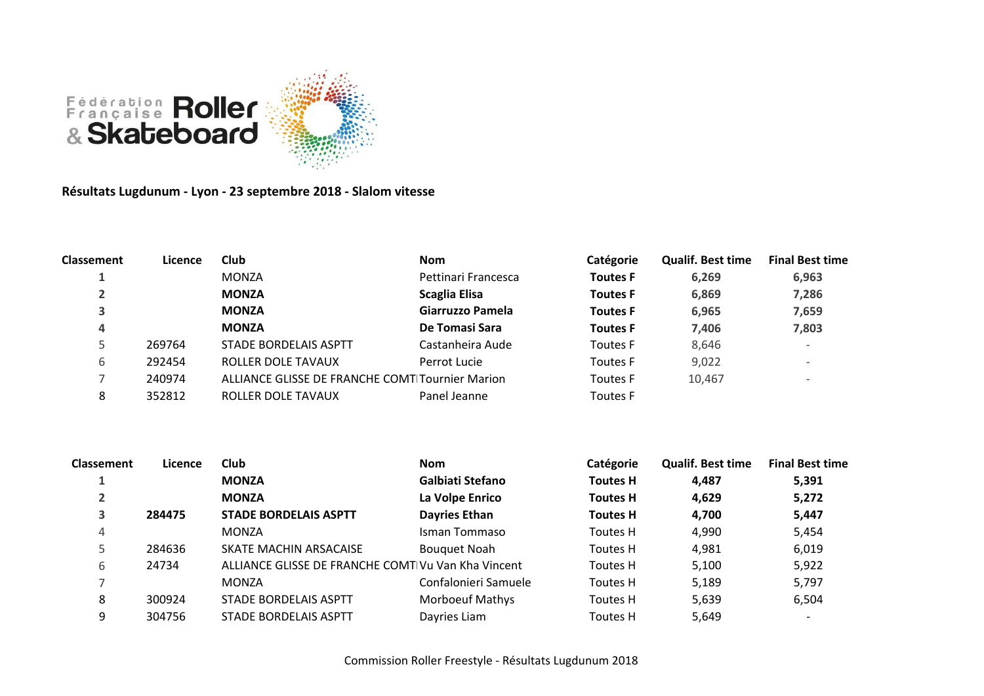

**Résultats Lugdunum - Lyon - 23 septembre 2018 - Slalom vitesse**

| Classement | Licence | Club                                            | <b>Nom</b>          | Catégorie       | <b>Qualif. Best time</b> | <b>Final Best time</b>   |
|------------|---------|-------------------------------------------------|---------------------|-----------------|--------------------------|--------------------------|
|            |         | <b>MONZA</b>                                    | Pettinari Francesca | <b>Toutes F</b> | 6,269                    | 6,963                    |
|            |         | <b>MONZA</b>                                    | Scaglia Elisa       | <b>Toutes F</b> | 6,869                    | 7,286                    |
| 3          |         | <b>MONZA</b>                                    | Giarruzzo Pamela    | <b>Toutes F</b> | 6,965                    | 7,659                    |
| 4          |         | <b>MONZA</b>                                    | De Tomasi Sara      | <b>Toutes F</b> | 7.406                    | 7,803                    |
|            | 269764  | STADE BORDELAIS ASPTT                           | Castanheira Aude    | <b>Toutes F</b> | 8,646                    | $\overline{\phantom{0}}$ |
| 6          | 292454  | ROLLER DOLE TAVAUX                              | Perrot Lucie        | <b>Toutes F</b> | 9,022                    | $\overline{\phantom{0}}$ |
|            | 240974  | ALLIANCE GLISSE DE FRANCHE COMT Tournier Marion |                     | <b>Toutes F</b> | 10,467                   | $\qquad \qquad$          |
| 8          | 352812  | ROLLER DOLE TAVAUX                              | Panel Jeanne        | <b>Toutes F</b> |                          |                          |

| <b>Classement</b> | Licence | Club                                               | <b>Nom</b>             | Catégorie       | <b>Qualif. Best time</b> | <b>Final Best time</b>   |
|-------------------|---------|----------------------------------------------------|------------------------|-----------------|--------------------------|--------------------------|
|                   |         | <b>MONZA</b>                                       | Galbiati Stefano       | <b>Toutes H</b> | 4,487                    | 5,391                    |
| $\overline{2}$    |         | <b>MONZA</b>                                       | La Volpe Enrico        | <b>Toutes H</b> | 4,629                    | 5,272                    |
| 3                 | 284475  | <b>STADE BORDELAIS ASPTT</b>                       | <b>Dayries Ethan</b>   | <b>Toutes H</b> | 4.700                    | 5,447                    |
| 4                 |         | <b>MONZA</b>                                       | Isman Tommaso          | Toutes H        | 4,990                    | 5,454                    |
| 5                 | 284636  | SKATE MACHIN ARSACAISE                             | <b>Bouquet Noah</b>    | Toutes H        | 4,981                    | 6,019                    |
| 6                 | 24734   | ALLIANCE GLISSE DE FRANCHE COMT Vu Van Kha Vincent |                        | Toutes H        | 5,100                    | 5,922                    |
|                   |         | <b>MONZA</b>                                       | Confalonieri Samuele   | Toutes H        | 5,189                    | 5,797                    |
| 8                 | 300924  | STADE BORDELAIS ASPTT                              | <b>Morboeuf Mathys</b> | Toutes H        | 5,639                    | 6,504                    |
| 9                 | 304756  | STADE BORDELAIS ASPTT                              | Dayries Liam           | Toutes H        | 5,649                    | $\overline{\phantom{a}}$ |
|                   |         |                                                    |                        |                 |                          |                          |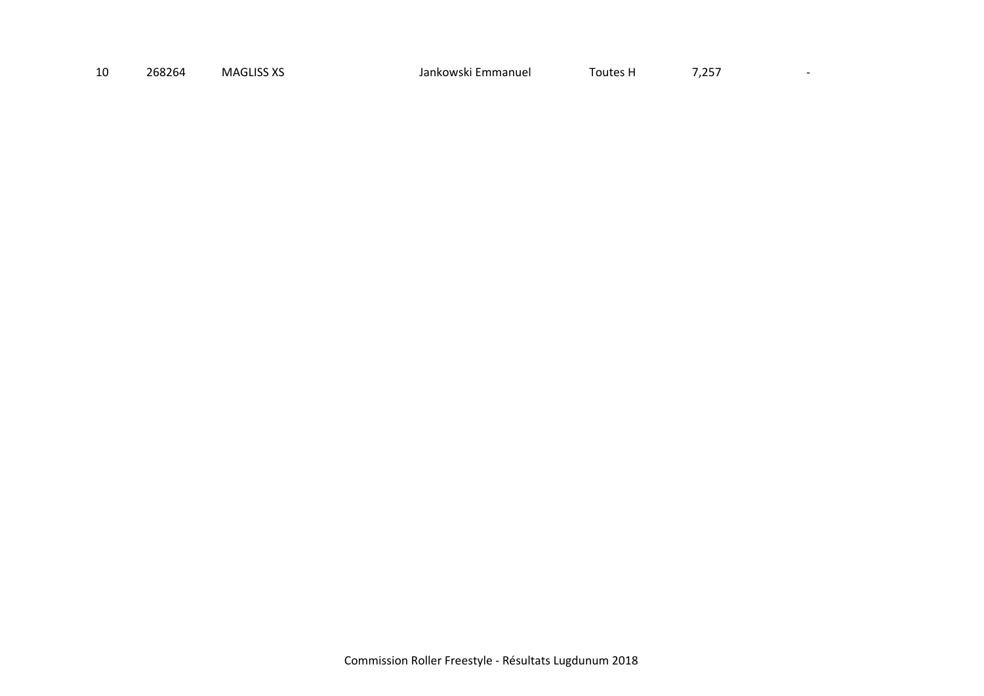| 10 | 268264 | <b>MAGLISS XS</b> | Emmanuel<br>Jankowski | Toutes H | フ つにつ<br>، پ_ے ، |
|----|--------|-------------------|-----------------------|----------|------------------|
|----|--------|-------------------|-----------------------|----------|------------------|

 $\mathcal{L}(\mathcal{L})$  and  $\mathcal{L}(\mathcal{L})$  .